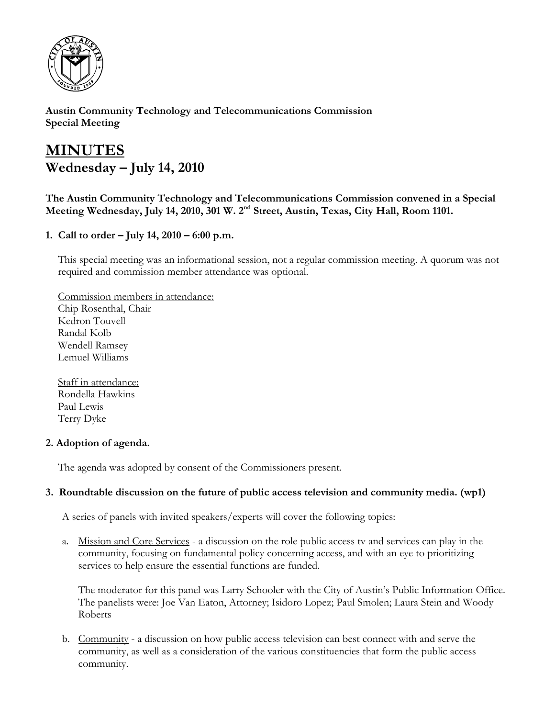

**Austin Community Technology and Telecommunications Commission Special Meeting** 

# **MINUTES Wednesday – July 14, 2010**

**The Austin Community Technology and Telecommunications Commission convened in a Special**  Meeting Wednesday, July 14, 2010, 301 W. 2<sup>nd</sup> Street, Austin, Texas, City Hall, Room 1101.

**1. Call to order – July 14, 2010 – 6:00 p.m.** 

This special meeting was an informational session, not a regular commission meeting. A quorum was not required and commission member attendance was optional.

Commission members in attendance: Chip Rosenthal, Chair Kedron Touvell Randal Kolb Wendell Ramsey Lemuel Williams

Staff in attendance: Rondella Hawkins Paul Lewis Terry Dyke

## **2. Adoption of agenda.**

The agenda was adopted by consent of the Commissioners present.

## **3. Roundtable discussion on the future of public access television and community media. (wp1)**

A series of panels with invited speakers/experts will cover the following topics:

a. Mission and Core Services - a discussion on the role public access tv and services can play in the community, focusing on fundamental policy concerning access, and with an eye to prioritizing services to help ensure the essential functions are funded.

The moderator for this panel was Larry Schooler with the City of Austin's Public Information Office. The panelists were: Joe Van Eaton, Attorney; Isidoro Lopez; Paul Smolen; Laura Stein and Woody Roberts

b. Community - a discussion on how public access television can best connect with and serve the community, as well as a consideration of the various constituencies that form the public access community.